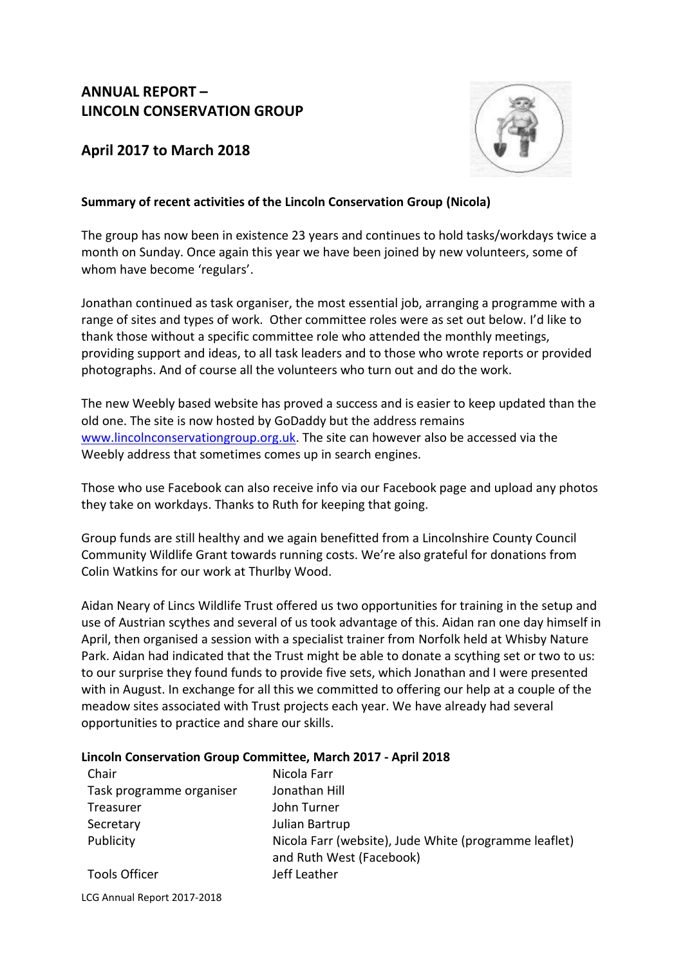## **ANNUAL REPORT – LINCOLN CONSERVATION GROUP**

### **April 2017 to March 2018**



#### **Summary of recent activities of the Lincoln Conservation Group (Nicola)**

The group has now been in existence 23 years and continues to hold tasks/workdays twice a month on Sunday. Once again this year we have been joined by new volunteers, some of whom have become 'regulars'.

Jonathan continued as task organiser, the most essential job, arranging a programme with a range of sites and types of work. Other committee roles were as set out below. I'd like to thank those without a specific committee role who attended the monthly meetings, providing support and ideas, to all task leaders and to those who wrote reports or provided photographs. And of course all the volunteers who turn out and do the work.

The new Weebly based website has proved a success and is easier to keep updated than the old one. The site is now hosted by GoDaddy but the address remains [www.lincolnconservationgroup.org.uk.](http://www.lincolnconservationgroup.org.uk/) The site can however also be accessed via the Weebly address that sometimes comes up in search engines.

Those who use Facebook can also receive info via our Facebook page and upload any photos they take on workdays. Thanks to Ruth for keeping that going.

Group funds are still healthy and we again benefitted from a Lincolnshire County Council Community Wildlife Grant towards running costs. We're also grateful for donations from Colin Watkins for our work at Thurlby Wood.

Aidan Neary of Lincs Wildlife Trust offered us two opportunities for training in the setup and use of Austrian scythes and several of us took advantage of this. Aidan ran one day himself in April, then organised a session with a specialist trainer from Norfolk held at Whisby Nature Park. Aidan had indicated that the Trust might be able to donate a scything set or two to us: to our surprise they found funds to provide five sets, which Jonathan and I were presented with in August. In exchange for all this we committed to offering our help at a couple of the meadow sites associated with Trust projects each year. We have already had several opportunities to practice and share our skills.

#### **Lincoln Conservation Group Committee, March 2017 - April 2018**

| Chair                    | Nicola Farr                                                                       |
|--------------------------|-----------------------------------------------------------------------------------|
| Task programme organiser | Jonathan Hill                                                                     |
| Treasurer                | John Turner                                                                       |
| Secretary                | Julian Bartrup                                                                    |
| Publicity                | Nicola Farr (website), Jude White (programme leaflet)<br>and Ruth West (Facebook) |
| <b>Tools Officer</b>     | Jeff Leather                                                                      |

LCG Annual Report 2017-2018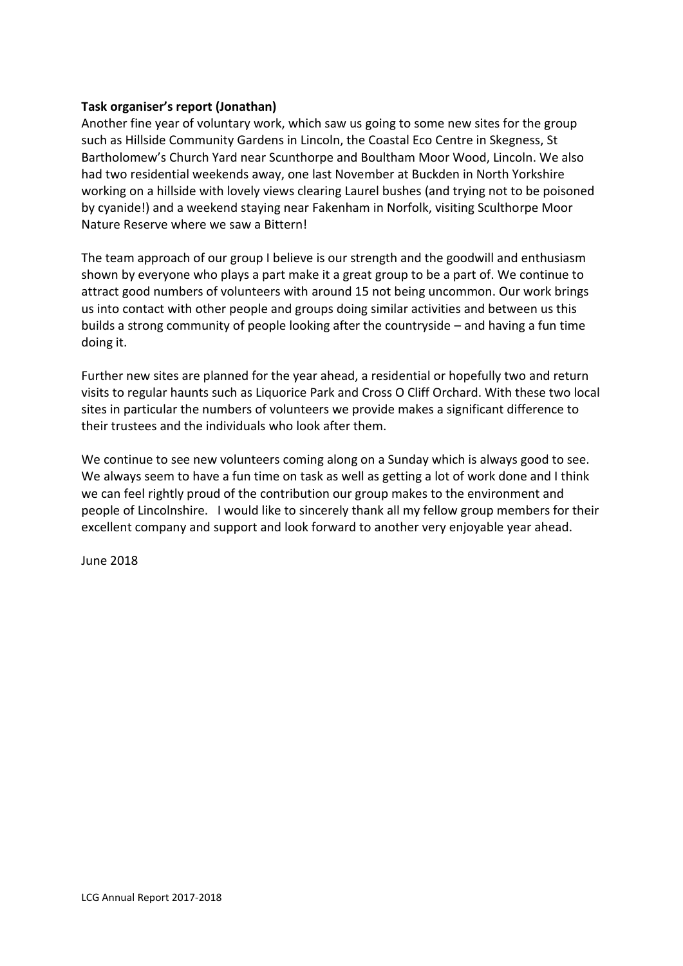#### **Task organiser's report (Jonathan)**

Another fine year of voluntary work, which saw us going to some new sites for the group such as Hillside Community Gardens in Lincoln, the Coastal Eco Centre in Skegness, St Bartholomew's Church Yard near Scunthorpe and Boultham Moor Wood, Lincoln. We also had two residential weekends away, one last November at Buckden in North Yorkshire working on a hillside with lovely views clearing Laurel bushes (and trying not to be poisoned by cyanide!) and a weekend staying near Fakenham in Norfolk, visiting Sculthorpe Moor Nature Reserve where we saw a Bittern!

The team approach of our group I believe is our strength and the goodwill and enthusiasm shown by everyone who plays a part make it a great group to be a part of. We continue to attract good numbers of volunteers with around 15 not being uncommon. Our work brings us into contact with other people and groups doing similar activities and between us this builds a strong community of people looking after the countryside – and having a fun time doing it.

Further new sites are planned for the year ahead, a residential or hopefully two and return visits to regular haunts such as Liquorice Park and Cross O Cliff Orchard. With these two local sites in particular the numbers of volunteers we provide makes a significant difference to their trustees and the individuals who look after them.

We continue to see new volunteers coming along on a Sunday which is always good to see. We always seem to have a fun time on task as well as getting a lot of work done and I think we can feel rightly proud of the contribution our group makes to the environment and people of Lincolnshire. I would like to sincerely thank all my fellow group members for their excellent company and support and look forward to another very enjoyable year ahead.

June 2018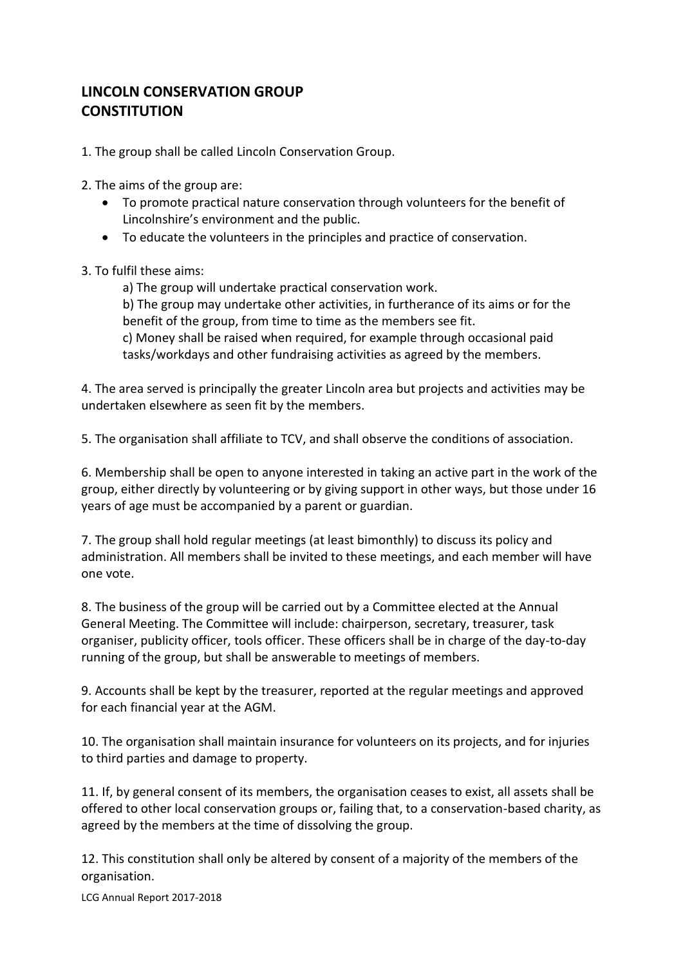# **LINCOLN CONSERVATION GROUP CONSTITUTION**

1. The group shall be called Lincoln Conservation Group.

2. The aims of the group are:

- To promote practical nature conservation through volunteers for the benefit of Lincolnshire's environment and the public.
- To educate the volunteers in the principles and practice of conservation.

#### 3. To fulfil these aims:

a) The group will undertake practical conservation work. b) The group may undertake other activities, in furtherance of its aims or for the benefit of the group, from time to time as the members see fit. c) Money shall be raised when required, for example through occasional paid tasks/workdays and other fundraising activities as agreed by the members.

4. The area served is principally the greater Lincoln area but projects and activities may be undertaken elsewhere as seen fit by the members.

5. The organisation shall affiliate to TCV, and shall observe the conditions of association.

6. Membership shall be open to anyone interested in taking an active part in the work of the group, either directly by volunteering or by giving support in other ways, but those under 16 years of age must be accompanied by a parent or guardian.

7. The group shall hold regular meetings (at least bimonthly) to discuss its policy and administration. All members shall be invited to these meetings, and each member will have one vote.

8. The business of the group will be carried out by a Committee elected at the Annual General Meeting. The Committee will include: chairperson, secretary, treasurer, task organiser, publicity officer, tools officer. These officers shall be in charge of the day-to-day running of the group, but shall be answerable to meetings of members.

9. Accounts shall be kept by the treasurer, reported at the regular meetings and approved for each financial year at the AGM.

10. The organisation shall maintain insurance for volunteers on its projects, and for injuries to third parties and damage to property.

11. If, by general consent of its members, the organisation ceases to exist, all assets shall be offered to other local conservation groups or, failing that, to a conservation-based charity, as agreed by the members at the time of dissolving the group.

12. This constitution shall only be altered by consent of a majority of the members of the organisation.

LCG Annual Report 2017-2018